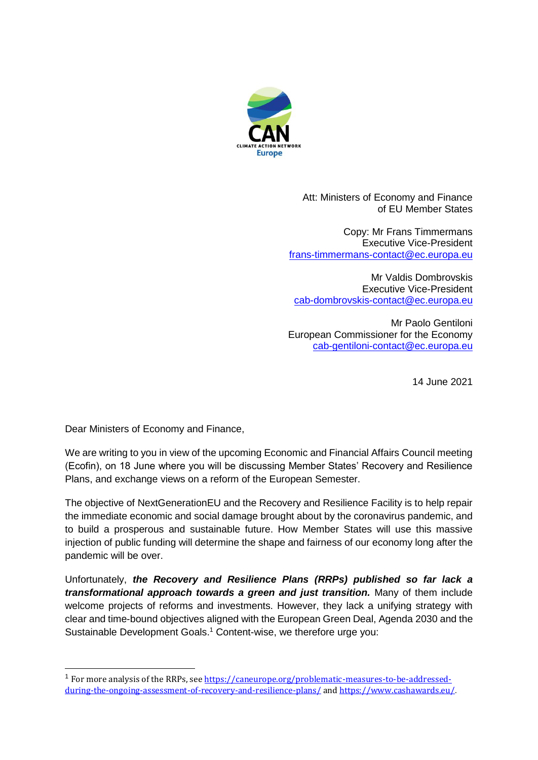

Att: Ministers of Economy and Finance of EU Member States

Copy: Mr Frans Timmermans Executive Vice-President [frans-timmermans-contact@ec.europa.eu](mailto:frans-timmermans-contact@ec.europa.eu)

Mr Valdis Dombrovskis Executive Vice-President [cab-dombrovskis-contact@ec.europa.eu](mailto:cab-dombrovskis-contact@ec.europa.eu)

Mr Paolo Gentiloni European Commissioner for the Economy [cab-gentiloni-contact@ec.europa.eu](mailto:cab-gentiloni-contact@ec.europa.eu)

14 June 2021

Dear Ministers of Economy and Finance,

-

We are writing to you in view of the upcoming Economic and Financial Affairs Council meeting (Ecofin), on 18 June where you will be discussing Member States' Recovery and Resilience Plans, and exchange views on a reform of the European Semester.

The objective of NextGenerationEU and the Recovery and Resilience Facility is to help repair the immediate economic and social damage brought about by the coronavirus pandemic, and to build a prosperous and sustainable future. How Member States will use this massive injection of public funding will determine the shape and fairness of our economy long after the pandemic will be over.

Unfortunately, *the Recovery and Resilience Plans (RRPs) published so far lack a transformational approach towards a green and just transition.* Many of them include welcome projects of reforms and investments. However, they lack a unifying strategy with clear and time-bound objectives aligned with the European Green Deal, Agenda 2030 and the Sustainable Development Goals.<sup>1</sup> Content-wise, we therefore urge you:

<sup>&</sup>lt;sup>1</sup> For more analysis of the RRPs, see [https://caneurope.org/problematic-measures-to-be-addressed](https://caneurope.org/problematic-measures-to-be-addressed-during-the-ongoing-assessment-of-recovery-and-resilience-plans/)[during-the-ongoing-assessment-of-recovery-and-resilience-plans/](https://caneurope.org/problematic-measures-to-be-addressed-during-the-ongoing-assessment-of-recovery-and-resilience-plans/) and [https://www.cashawards.eu/.](https://www.cashawards.eu/)